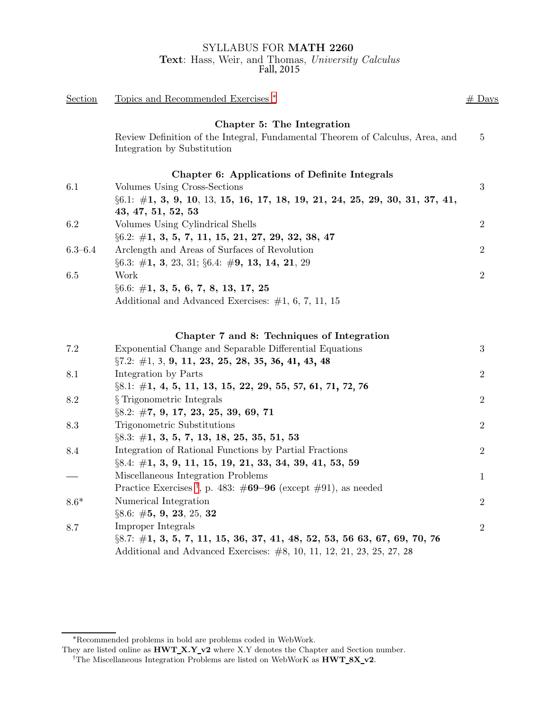## SYLLABUS FOR MATH 2260 Text: Hass, Weir, and Thomas, University Calculus Fall, 2015

| Section     | Topics and Recommended Exercises <sup>*</sup>                                                                | $#$ Days         |
|-------------|--------------------------------------------------------------------------------------------------------------|------------------|
|             | Chapter 5: The Integration                                                                                   |                  |
|             | Review Definition of the Integral, Fundamental Theorem of Calculus, Area, and<br>Integration by Substitution | $\bf 5$          |
|             | Chapter 6: Applications of Definite Integrals                                                                |                  |
| 6.1         | Volumes Using Cross-Sections                                                                                 | 3                |
|             | $\S6.1: \#1, 3, 9, 10, 13, 15, 16, 17, 18, 19, 21, 24, 25, 29, 30, 31, 37, 41,$<br>43, 47, 51, 52, 53        |                  |
| 6.2         | Volumes Using Cylindrical Shells                                                                             | $\boldsymbol{2}$ |
|             | $\S6.2: \#1, 3, 5, 7, 11, 15, 21, 27, 29, 32, 38, 47$                                                        |                  |
| $6.3 - 6.4$ | Arclength and Areas of Surfaces of Revolution                                                                | $\overline{2}$   |
|             | $\S6.3: \#1, 3, 23, 31; \S6.4: \#9, 13, 14, 21, 29$                                                          |                  |
| 6.5         | Work                                                                                                         | $\overline{2}$   |
|             | $\S 6.6: \#1, 3, 5, 6, 7, 8, 13, 17, 25$                                                                     |                  |
|             | Additional and Advanced Exercises: $\#1, 6, 7, 11, 15$                                                       |                  |
|             | Chapter 7 and 8: Techniques of Integration                                                                   |                  |
| 7.2         | Exponential Change and Separable Differential Equations                                                      | $\sqrt{3}$       |
|             | $\S 7.2: \#1, 3, 9, 11, 23, 25, 28, 35, 36, 41, 43, 48$                                                      |                  |
| 8.1         | Integration by Parts                                                                                         | $\overline{2}$   |
|             | $\S8.1:$ #1, 4, 5, 11, 13, 15, 22, 29, 55, 57, 61, 71, 72, 76                                                |                  |
| 8.2         | § Trigonometric Integrals                                                                                    | $\overline{2}$   |
|             | $\S 8.2:  #7, 9, 17, 23, 25, 39, 69, 71$                                                                     |                  |
| 8.3         | Trigonometric Substitutions                                                                                  | $\overline{2}$   |
|             | $\S 8.3: \#1, 3, 5, 7, 13, 18, 25, 35, 51, 53$                                                               |                  |
| 8.4         | Integration of Rational Functions by Partial Fractions                                                       | $\overline{2}$   |
|             | $\S 8.4: \#1, 3, 9, 11, 15, 19, 21, 33, 34, 39, 41, 53, 59$                                                  |                  |
|             | Miscellaneous Integration Problems                                                                           | 1                |
|             | Practice Exercises <sup>†</sup> , p. 483: $\#69-96$ (except $\#91$ ), as needed                              |                  |
| $8.6*$      | Numerical Integration                                                                                        | $\overline{2}$   |
|             | $\S 8.6:$ #5, 9, 23, 25, 32                                                                                  |                  |
| 8.7         | Improper Integrals                                                                                           | $\overline{2}$   |
|             | $\S8.7: \#1, 3, 5, 7, 11, 15, 36, 37, 41, 48, 52, 53, 56, 63, 67, 69, 70, 76$                                |                  |
|             | Additional and Advanced Exercises: $#8$ , 10, 11, 12, 21, 23, 25, 27, 28                                     |                  |

<sup>∗</sup>Recommended problems in bold are problems coded in WebWork.

They are listed online as  ${\bf HWT\_X.Y\_v2}$  where X.Y denotes the Chapter and Section number.

<span id="page-0-1"></span><span id="page-0-0"></span><sup>&</sup>lt;sup>†</sup>The Miscellaneous Integration Problems are listed on WebWorK as  $\overline{\text{HWT\_8X\_v2}}$ .